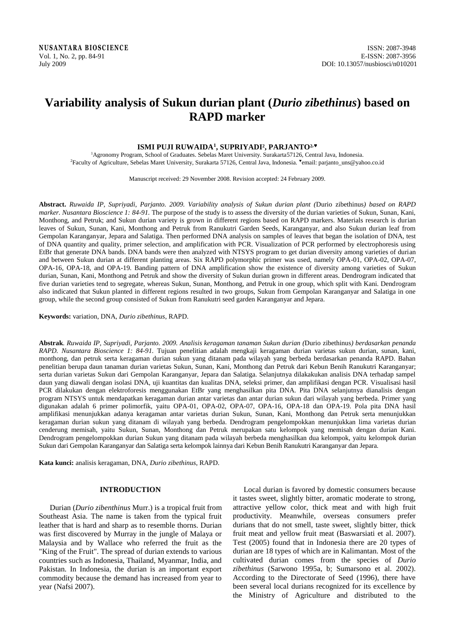# **Variability analysis of Sukun durian plant (***Durio zibethinus***) based on RAPD marker**

# **ISMI PUJI RUWAIDA<sup>1</sup> , SUPRIYADI², PARJANTO² ,**

<sup>1</sup>Agronomy Program, School of Graduates. Sebelas Maret University. Surakarta57126, Central Java, Indonesia. <sup>2</sup>Faculty of Agriculture, Sebelas Maret University, Surakarta 57126, Central Java, Indonesia. Vemail: parjanto\_uns@yahoo.co.id

Manuscript received: 29 November 2008. Revision accepted: 24 February 2009.

**Abstract.** *Ruwaida IP, Supriyadi, Parjanto. 2009. Variability analysis of Sukun durian plant (*Durio zibethinus*) based on RAPD marker. Nusantara Bioscience 1: 84-91.* The purpose of the study is to assess the diversity of the durian varieties of Sukun, Sunan, Kani, Monthong, and Petruk; and Sukun durian variety is grown in different regions based on RAPD markers. Materials research is durian leaves of Sukun, Sunan, Kani, Monthong and Petruk from Ranukutri Garden Seeds, Karanganyar, and also Sukun durian leaf from Gempolan Karanganyar, Jepara and Salatiga. Then performed DNA analysis on samples of leaves that began the isolation of DNA, test of DNA quantity and quality, primer selection, and amplification with PCR. Visualization of PCR performed by electrophoresis using EtBr that generate DNA bands. DNA bands were then analyzed with NTSYS program to get durian diversity among varieties of durian and between Sukun durian at different planting areas. Six RAPD polymorphic primer was used, namely OPA-01, OPA-02, OPA-07, OPA-16, OPA-18, and OPA-19. Banding pattern of DNA amplification show the existence of diversity among varieties of Sukun durian, Sunan, Kani, Monthong and Petruk and show the diversity of Sukun durian grown in different areas. Dendrogram indicated that five durian varieties tend to segregate, whereas Sukun, Sunan, Monthong, and Petruk in one group, which split with Kani. Dendrogram also indicated that Sukun planted in different regions resulted in two groups, Sukun from Gempolan Karanganyar and Salatiga in one group, while the second group consisted of Sukun from Ranukutri seed garden Karanganyar and Jepara.

**Keywords:** variation, DNA, *Durio zibethinus*, RAPD.

**Abstrak**. *Ruwaida IP, Supriyadi, Parjanto. 2009. Analisis keragaman tanaman Sukun durian (*Durio zibethinus*) berdasarkan penanda RAPD. Nusantara Bioscience 1: 84-91.* Tujuan penelitian adalah mengkaji keragaman durian varietas sukun durian, sunan, kani, monthong, dan petruk serta keragaman durian sukun yang ditanam pada wilayah yang berbeda berdasarkan penanda RAPD. Bahan penelitian berupa daun tanaman durian varietas Sukun, Sunan, Kani, Monthong dan Petruk dari Kebun Benih Ranukutri Karanganyar; serta durian varietas Sukun dari Gempolan Karanganyar, Jepara dan Salatiga. Selanjutnya dilakakukan analisis DNA terhadap sampel daun yang diawali dengan isolasi DNA, uji kuantitas dan kualitas DNA, seleksi primer, dan amplifikasi dengan PCR. Visualisasi hasil PCR dilakukan dengan elektroforesis menggunakan EtBr yang menghasilkan pita DNA. Pita DNA selanjutnya dianalisis dengan program NTSYS untuk mendapatkan keragaman durian antar varietas dan antar durian sukun dari wilayah yang berbeda. Primer yang digunakan adalah 6 primer polimorfik, yaitu OPA-01, OPA-02, OPA-07, OPA-16, OPA-18 dan OPA-19. Pola pita DNA hasil amplifikasi menunjukkan adanya keragaman antar varietas durian Sukun, Sunan, Kani, Monthong dan Petruk serta menunjukkan keragaman durian sukun yang ditanam di wilayah yang berbeda. Dendrogram pengelompokkan menunjukkan lima varietas durian cenderung memisah, yaitu Sukun, Sunan, Monthong dan Petruk merupakan satu kelompok yang memisah dengan durian Kani. Dendrogram pengelompokkan durian Sukun yang ditanam pada wilayah berbeda menghasilkan dua kelompok, yaitu kelompok durian Sukun dari Gempolan Karanganyar dan Salatiga serta kelompok lainnya dari Kebun Benih Ranukutri Karanganyar dan Jepara.

**Kata kunci:** analisis keragaman, DNA, *Durio zibethinus*, RAPD.

# **INTRODUCTION**

Durian (*Durio zibenthinus* Murr.) is a tropical fruit from Southeast Asia. The name is taken from the typical fruit leather that is hard and sharp as to resemble thorns. Durian was first discovered by Murray in the jungle of Malaya or Malaysia and by Wallace who referred the fruit as the "King of the Fruit". The spread of durian extends to various countries such as Indonesia, Thailand, Myanmar, India, and Pakistan. In Indonesia, the durian is an important export commodity because the demand has increased from year to year (Nafsi 2007).

Local durian is favored by domestic consumers because it tastes sweet, slightly bitter, aromatic moderate to strong, attractive yellow color, thick meat and with high fruit productivity. Meanwhile, overseas consumers prefer durians that do not smell, taste sweet, slightly bitter, thick fruit meat and yellow fruit meat (Baswarsiati et al. 2007). Test (2005) found that in Indonesia there are 20 types of durian are 18 types of which are in Kalimantan. Most of the cultivated durian comes from the species of *Durio zibethinus* (Sarwono 1995a, b; Sumarsono et al. 2002). According to the Directorate of Seed (1996), there have been several local durians recognized for its excellence by the Ministry of Agriculture and distributed to the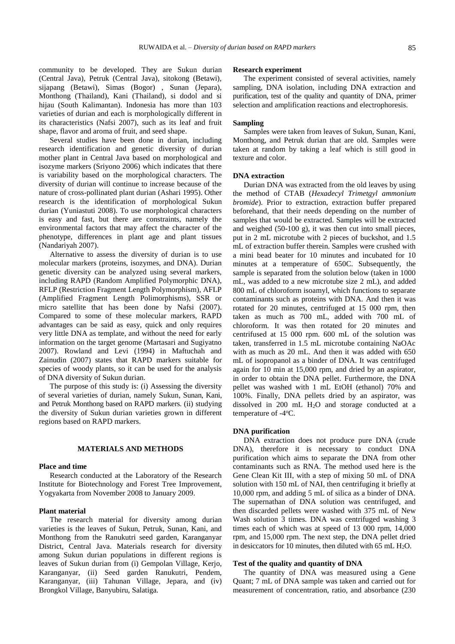community to be developed. They are Sukun durian (Central Java), Petruk (Central Java), sitokong (Betawi), sijapang (Betawi), Simas (Bogor) , Sunan (Jepara), Monthong (Thailand), Kani (Thailand), si dodol and si hijau (South Kalimantan). Indonesia has more than 103 varieties of durian and each is morphologically different in its characteristics (Nafsi 2007), such as its leaf and fruit shape, flavor and aroma of fruit, and seed shape.

Several studies have been done in durian, including research identification and genetic diversity of durian mother plant in Central Java based on morphological and isozyme markers (Sriyono 2006) which indicates that there is variability based on the morphological characters. The diversity of durian will continue to increase because of the nature of cross-pollinated plant durian (Ashari 1995). Other research is the identification of morphological Sukun durian (Yuniastuti 2008). To use morphological characters is easy and fast, but there are constraints, namely the environmental factors that may affect the character of the phenotype, differences in plant age and plant tissues (Nandariyah 2007).

Alternative to assess the diversity of durian is to use molecular markers (proteins, isozymes, and DNA). Durian genetic diversity can be analyzed using several markers, including RAPD (Random Amplified Polymorphic DNA), RFLP (Restriction Fragment Length Polymorphism), AFLP (Amplified Fragment Length Polimorphisms), SSR or micro satellite that has been done by Nafsi (2007). Compared to some of these molecular markers, RAPD advantages can be said as easy, quick and only requires very little DNA as template, and without the need for early information on the target genome (Martasari and Sugiyatno 2007). Rowland and Levi (1994) in Maftuchah and Zainudin (2007) states that RAPD markers suitable for species of woody plants, so it can be used for the analysis of DNA diversity of Sukun durian.

The purpose of this study is: (i) Assessing the diversity of several varieties of durian, namely Sukun, Sunan, Kani, and Petruk Monthong based on RAPD markers. (ii) studying the diversity of Sukun durian varieties grown in different regions based on RAPD markers.

# **MATERIALS AND METHODS**

# **Place and time**

Research conducted at the Laboratory of the Research Institute for Biotechnology and Forest Tree Improvement, Yogyakarta from November 2008 to January 2009.

## **Plant material**

The research material for diversity among durian varieties is the leaves of Sukun, Petruk, Sunan, Kani, and Monthong from the Ranukutri seed garden, Karanganyar District, Central Java. Materials research for diversity among Sukun durian populations in different regions is leaves of Sukun durian from (i) Gempolan Village, Kerjo, Karanganyar, (ii) Seed garden Ranukutri, Pendem, Karanganyar, (iii) Tahunan Village, Jepara, and (iv) Brongkol Village, Banyubiru, Salatiga.

## **Research experiment**

The experiment consisted of several activities, namely sampling, DNA isolation, including DNA extraction and purification, test of the quality and quantity of DNA, primer selection and amplification reactions and electrophoresis.

## **Sampling**

Samples were taken from leaves of Sukun, Sunan, Kani, Monthong, and Petruk durian that are old. Samples were taken at random by taking a leaf which is still good in texture and color.

## **DNA extraction**

Durian DNA was extracted from the old leaves by using the method of CTAB (*Hexadecyl Trimetgyl ammonium bromide*). Prior to extraction, extraction buffer prepared beforehand, that their needs depending on the number of samples that would be extracted. Samples will be extracted and weighed (50-100 g), it was then cut into small pieces, put in 2 mL microtube with 2 pieces of buckshot, and 1.5 mL of extraction buffer therein. Samples were crushed with a mini bead beater for 10 minutes and incubated for 10 minutes at a temperature of 650C. Subsequently, the sample is separated from the solution below (taken in 1000 mL, was added to a new microtube size 2 mL), and added 800 mL of chloroform isoamyl, which functions to separate contaminants such as proteins with DNA. And then it was rotated for 20 minutes, centrifuged at 15 000 rpm, then taken as much as 700 mL, added with 700 mL of chloroform. It was then rotated for 20 minutes and centrifused at 15 000 rpm. 600 mL of the solution was taken, transferred in 1.5 mL microtube containing NaOAc with as much as 20 mL. And then it was added with 650 mL of isopropanol as a binder of DNA. It was centrifuged again for 10 min at 15,000 rpm, and dried by an aspirator, in order to obtain the DNA pellet. Furthermore, the DNA pellet was washed with 1 mL EtOH (ethanol) 70% and 100%. Finally, DNA pellets dried by an aspirator, was dissolved in 200 mL H2O and storage conducted at a temperature of -4<sup>o</sup>C.

## **DNA purification**

DNA extraction does not produce pure DNA (crude DNA), therefore it is necessary to conduct DNA purification which aims to separate the DNA from other contaminants such as RNA. The method used here is the Gene Clean Kit III, with a step of mixing 50 mL of DNA solution with 150 mL of NAI, then centrifuging it briefly at 10,000 rpm, and adding 5 mL of silica as a binder of DNA. The supernathan of DNA solution was centrifuged, and then discarded pellets were washed with 375 mL of New Wash solution 3 times. DNA was centrifuged washing 3 times each of which was at speed of 13 000 rpm, 14,000 rpm, and 15,000 rpm. The next step, the DNA pellet dried in desiccators for 10 minutes, then diluted with 65 mL  $H_2O$ .

## **Test of the quality and quantity of DNA**

The quantity of DNA was measured using a Gene Quant; 7 mL of DNA sample was taken and carried out for measurement of concentration, ratio, and absorbance (230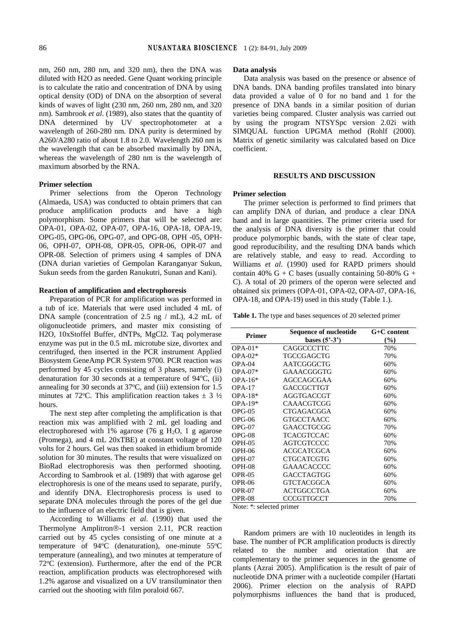nm, 260 nm, 280 nm, and 320 nm), then the DNA was diluted with H2O as needed. Gene Quant working principle is to calculate the ratio and concentration of DNA by using optical density (OD) of DNA on the absorption of several kinds of waves of light (230 nm, 260 nm, 280 nm, and 320 nm). Sambrook *et al*. (1989), also states that the quantity of DNA determined by UV spectrophotometer at a wavelength of 260-280 nm. DNA purity is determined by A260/A280 ratio of about 1.8 to 2.0. Wavelength 260 nm is the wavelength that can be absorbed maximally by DNA, whereas the wavelength of 280 nm is the wavelength of maximum absorbed by the RNA.

## **Primer selection**

Primer selections from the Operon Technology (Almaeda, USA) was conducted to obtain primers that can produce amplification products and have a high polymorphism. Some primers that will be selected are: OPA-01, OPA-02, OPA-07, OPA-16, OPA-18, OPA-19, OPG-05, OPG-06, OPG-07, and OPG-08, OPH -05, OPH-06, OPH-07, OPH-08, OPR-05, OPR-06, OPR-07 and OPR-08. Selection of primers using 4 samples of DNA (DNA durian varieties of Gempolan Karanganyar Sukun, Sukun seeds from the garden Ranukutri, Sunan and Kani).

## **Reaction of amplification and electrophoresis**

Preparation of PCR for amplification was performed in a tub of ice. Materials that were used included 4 mL of DNA sample (concentration of 2.5 ng / mL), 4.2 mL of oligonucleotide primers, and master mix consisting of H2O, 10xStoffel Buffer, dNTPs, MgCl2. Taq polymerase enzyme was put in the 0.5 mL microtube size, divortex and centrifuged, then inserted in the PCR instrument Applied Biosystem GeneAmp PCR System 9700. PCR reaction was performed by 45 cycles consisting of 3 phases, namely (i) denaturation for 30 seconds at a temperature of  $94^{\circ}C$ , (ii) annealing for 30 seconds at  $37^{\circ}$ C, and (iii) extension for 1.5 minutes at 72 °C. This amplification reaction takes  $\pm$  3  $\frac{1}{2}$ hours.

The next step after completing the amplification is that reaction mix was amplified with 2 mL gel loading and electrophoresed with 1% agarose (76 g H<sub>2</sub>O, 1 g agarose (Promega), and 4 mL 20xTBE) at constant voltage of 120 volts for 2 hours. Gel was then soaked in ethidium bromide solution for 30 minutes. The results that were visualized on BioRad electrophoresis was then performed shooting. According to Sambrook et al. (1989) that with agarose gel electrophoresis is one of the means used to separate, purify, and identify DNA. Electrophoresis process is used to separate DNA molecules through the pores of the gel due to the influence of an electric field that is given.

According to Williams *et al*. (1990) that used the Thermolyne Amplitron®-1 version 2.11, PCR reaction carried out by 45 cycles consisting of one minute at a temperature of  $94^{\circ}$ C (denaturation), one-minute  $55^{\circ}$ C temperature (annealing), and two minutes at temperature of 72°C (extension). Furthermore, after the end of the PCR reaction, amplification products was electrophoresed with 1.2% agarose and visualized on a UV transiluminator then carried out the shooting with film poraloid 667.

#### **Data analysis**

Data analysis was based on the presence or absence of DNA bands. DNA banding profiles translated into binary data provided a value of 0 for no band and 1 for the presence of DNA bands in a similar position of durian varieties being compared. Cluster analysis was carried out by using the program NTSYSpc version 2.02i with SIMQUAL function UPGMA method (Rohlf (2000). Matrix of genetic similarity was calculated based on Dice coefficient.

## **RESULTS AND DISCUSSION**

## **Primer selection**

The primer selection is performed to find primers that can amplify DNA of durian, and produce a clear DNA band and in large quantities. The primer criteria used for the analysis of DNA diversity is the primer that could produce polymorphic bands, with the state of clear tape, good reproducibility, and the resulting DNA bands which are relatively stable, and easy to read. According to Williams *et al*. (1990) used for RAPD primers should contain 40% G + C bases (usually containing  $50-80\%$  G + C). A total of 20 primers of the operon were selected and obtained six primers (OPA-01, OPA-02, OPA-07, OPA-16, OPA-18, and OPA-19) used in this study (Table 1.).

**Table 1.** The type and bases sequences of 20 selected primer

| <b>Primer</b> | Sequence of nucleotide               | $G+C$ content |  |
|---------------|--------------------------------------|---------------|--|
|               | bases $(5^{\circ}$ -3 <sup>*</sup> ) | (%)           |  |
| $OPA-01*$     | CAGGCCCTTC                           | 70%           |  |
| $OPA-02*$     | TGCCGAGCTG                           | 70%           |  |
| $OPA-04$      | AATCGGGCTG                           | 60%           |  |
| $OPA-07*$     | GAAACGGGTG                           | 60%           |  |
| $OPA-16*$     | AGCCAGCGAA                           | 60%           |  |
| $OPA-17$      | GACCGCTTGT                           | 60%           |  |
| $OPA-18*$     | AGGTGACCGT                           | 60%           |  |
| $OPA-19*$     | <b>CAAACGTCGG</b>                    | 60%           |  |
| $OPG-05$      | CTGAGACGGA                           | 60%           |  |
| $OPG-06$      | <b>GTGCCTAACC</b>                    | 60%           |  |
| $OPG-07$      | GAACCTGCGG                           | 70%           |  |
| $OPG-08$      | TCACGTCCAC                           | 60%           |  |
| $OPH-05$      | AGTCGTCCCC                           | 70%           |  |
| OPH-06        | ACGCATCGCA                           | 60%           |  |
| $OPH-07$      | CTGCATCGTG                           | 60%           |  |
| $OPH-08$      | GAAACACCCC                           | 60%           |  |
| OPR-05        | GACCTAGTGG                           | 60%           |  |
| OPR-06        | GTCTACGGCA                           | 60%           |  |
| OPR-07        | <b>ACTGGCCTGA</b>                    | 60%           |  |
| OPR-08        | CCCGTTGCCT                           | 70%           |  |

Note: \*: selected primer

Random primers are with 10 nucleotides in length its base. The number of PCR amplification products is directly related to the number and orientation that are complementary to the primer sequences in the genome of plants (Azrai 2005). Amplification is the result of pair of nucleotide DNA primer with a nucleotide compiler (Hartati 2006). Primer election on the analysis of RAPD polymorphisms influences the band that is produced,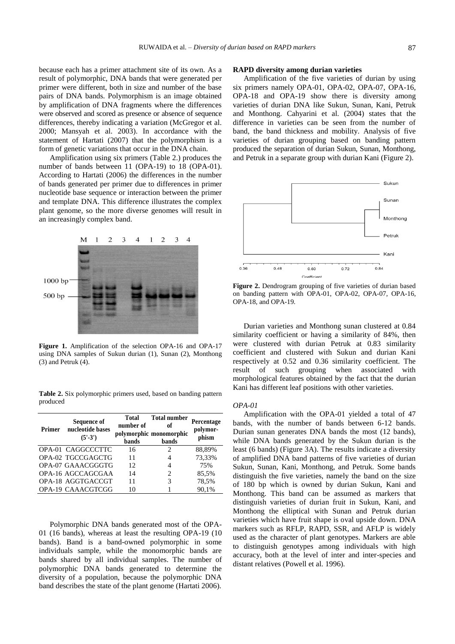because each has a primer attachment site of its own. As a result of polymorphic, DNA bands that were generated per primer were different, both in size and number of the base pairs of DNA bands. Polymorphism is an image obtained by amplification of DNA fragments where the differences were observed and scored as presence or absence of sequence differences, thereby indicating a variation (McGregor et al. 2000; Mansyah et al. 2003). In accordance with the statement of Hartati (2007) that the polymorphism is a form of genetic variations that occur in the DNA chain.

Amplification using six primers (Table 2.) produces the number of bands between 11 (OPA-19) to 18 (OPA-01). According to Hartati (2006) the differences in the number of bands generated per primer due to differences in primer nucleotide base sequence or interaction between the primer and template DNA. This difference illustrates the complex plant genome, so the more diverse genomes will result in an increasingly complex band.



**Figure 1.** Amplification of the selection OPA-16 and OPA-17 using DNA samples of Sukun durian (1), Sunan (2), Monthong (3) and Petruk (4).

**Table 2.** Six polymorphic primers used, based on banding pattern produced

| Primer | <b>Sequence of</b><br>nucleotide bases<br>$(5' - 3')$ | Total<br>number of<br><b>bands</b> | <b>Total number</b><br>of<br>polymorphic monomorphic<br>bands | Percentage<br>polymor-<br>phism |
|--------|-------------------------------------------------------|------------------------------------|---------------------------------------------------------------|---------------------------------|
|        | OPA-01 CAGGCCCTTC                                     | 16                                 | 2                                                             | 88,89%                          |
|        | OPA-02 TGCCGAGCTG                                     | 11                                 | 4                                                             | 73,33%                          |
|        | OPA-07 GAAACGGGTG                                     | 12                                 | 4                                                             | 75%                             |
|        | OPA-16 AGCCAGCGAA                                     | 14                                 | 2                                                             | 85,5%                           |
|        | OPA-18 AGGTGACCGT                                     | 11                                 | 3                                                             | 78,5%                           |
|        | OPA-19 CAAACGTCGG                                     | 10                                 |                                                               | 90.1%                           |

Polymorphic DNA bands generated most of the OPA-01 (16 bands), whereas at least the resulting OPA-19 (10 bands). Band is a band-owned polymorphic in some individuals sample, while the monomorphic bands are bands shared by all individual samples. The number of polymorphic DNA bands generated to determine the diversity of a population, because the polymorphic DNA band describes the state of the plant genome (Hartati 2006).

## **RAPD diversity among durian varieties**

Amplification of the five varieties of durian by using six primers namely OPA-01, OPA-02, OPA-07, OPA-16, OPA-18 and OPA-19 show there is diversity among varieties of durian DNA like Sukun, Sunan, Kani, Petruk and Monthong. Cahyarini et al. (2004) states that the difference in varieties can be seen from the number of band, the band thickness and mobility. Analysis of five varieties of durian grouping based on banding pattern produced the separation of durian Sukun, Sunan, Monthong, and Petruk in a separate group with durian Kani (Figure 2).



**Figure 2.** Dendrogram grouping of five varieties of durian based on banding pattern with OPA-01, OPA-02, OPA-07, OPA-16, OPA-18, and OPA-19.

Durian varieties and Monthong sunan clustered at 0.84 similarity coefficient or having a similarity of 84%, then were clustered with durian Petruk at 0.83 similarity coefficient and clustered with Sukun and durian Kani respectively at 0.52 and 0.36 similarity coefficient. The result of such grouping when associated with morphological features obtained by the fact that the durian Kani has different leaf positions with other varieties.

#### *OPA-01*

Amplification with the OPA-01 yielded a total of 47 bands, with the number of bands between 6-12 bands. Durian sunan generates DNA bands the most (12 bands), while DNA bands generated by the Sukun durian is the least (6 bands) (Figure 3A). The results indicate a diversity of amplified DNA band patterns of five varieties of durian Sukun, Sunan, Kani, Monthong, and Petruk. Some bands distinguish the five varieties, namely the band on the size of 180 bp which is owned by durian Sukun, Kani and Monthong. This band can be assumed as markers that distinguish varieties of durian fruit in Sukun, Kani, and Monthong the elliptical with Sunan and Petruk durian varieties which have fruit shape is oval upside down. DNA markers such as RFLP, RAPD, SSR, and AFLP is widely used as the character of plant genotypes. Markers are able to distinguish genotypes among individuals with high accuracy, both at the level of inter and inter-species and distant relatives (Powell et al. 1996).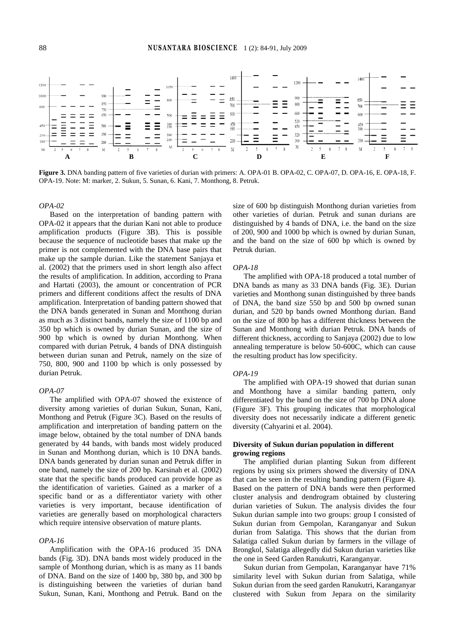

**Figure 3.** DNA banding pattern of five varieties of durian with primers: A. OPA-01 B. OPA-02, C. OPA-07, D. OPA-16, E. OPA-18, F. OPA-19. Note: M: marker, 2. Sukun, 5. Sunan, 6. Kani, 7. Monthong, 8. Petruk.

#### *OPA-02*

Based on the interpretation of banding pattern with OPA-02 it appears that the durian Kani not able to produce amplification products (Figure 3B). This is possible because the sequence of nucleotide bases that make up the primer is not complemented with the DNA base pairs that make up the sample durian. Like the statement Sanjaya et al. (2002) that the primers used in short length also affect the results of amplification. In addition, according to Prana and Hartati (2003), the amount or concentration of PCR primers and different conditions affect the results of DNA amplification. Interpretation of banding pattern showed that the DNA bands generated in Sunan and Monthong durian as much as 3 distinct bands, namely the size of 1100 bp and 350 bp which is owned by durian Sunan, and the size of 900 bp which is owned by durian Monthong. When compared with durian Petruk, 4 bands of DNA distinguish between durian sunan and Petruk, namely on the size of 750, 800, 900 and 1100 bp which is only possessed by durian Petruk.

#### *OPA-07*

The amplified with OPA-07 showed the existence of diversity among varieties of durian Sukun, Sunan, Kani, Monthong and Petruk (Figure 3C). Based on the results of amplification and interpretation of banding pattern on the image below, obtained by the total number of DNA bands generated by 44 bands, with bands most widely produced in Sunan and Monthong durian, which is 10 DNA bands. DNA bands generated by durian sunan and Petruk differ in one band, namely the size of 200 bp. Karsinah et al. (2002) state that the specific bands produced can provide hope as the identification of varieties. Gained as a marker of a specific band or as a differentiator variety with other varieties is very important, because identification of varieties are generally based on morphological characters which require intensive observation of mature plants.

## *OPA-16*

Amplification with the OPA-16 produced 35 DNA bands (Fig. 3D). DNA bands most widely produced in the sample of Monthong durian, which is as many as 11 bands of DNA. Band on the size of 1400 bp, 380 bp, and 300 bp is distinguishing between the varieties of durian band Sukun, Sunan, Kani, Monthong and Petruk. Band on the size of 600 bp distinguish Monthong durian varieties from other varieties of durian. Petruk and sunan durians are distinguished by 4 bands of DNA, i.e. the band on the size of 200, 900 and 1000 bp which is owned by durian Sunan, and the band on the size of 600 bp which is owned by Petruk durian.

#### *OPA-18*

The amplified with OPA-18 produced a total number of DNA bands as many as 33 DNA bands (Fig. 3E). Durian varieties and Monthong sunan distinguished by three bands of DNA, the band size 550 bp and 500 bp owned sunan durian, and 520 bp bands owned Monthong durian. Band on the size of 800 bp has a different thickness between the Sunan and Monthong with durian Petruk. DNA bands of different thickness, according to Sanjaya (2002) due to low annealing temperature is below 50-600C, which can cause the resulting product has low specificity.

#### *OPA-19*

The amplified with OPA-19 showed that durian sunan and Monthong have a similar banding pattern, only differentiated by the band on the size of 700 bp DNA alone (Figure 3F). This grouping indicates that morphological diversity does not necessarily indicate a different genetic diversity (Cahyarini et al. 2004).

# **Diversity of Sukun durian population in different growing regions**

The amplified durian planting Sukun from different regions by using six primers showed the diversity of DNA that can be seen in the resulting banding pattern (Figure 4). Based on the pattern of DNA bands were then performed cluster analysis and dendrogram obtained by clustering durian varieties of Sukun. The analysis divides the four Sukun durian sample into two groups: group I consisted of Sukun durian from Gempolan, Karanganyar and Sukun durian from Salatiga. This shows that the durian from Salatiga called Sukun durian by farmers in the village of Brongkol, Salatiga allegedly did Sukun durian varieties like the one in Seed Garden Ranukutri, Karanganyar.

Sukun durian from Gempolan, Karanganyar have 71% similarity level with Sukun durian from Salatiga, while Sukun durian from the seed garden Ranukutri, Karanganyar clustered with Sukun from Jepara on the similarity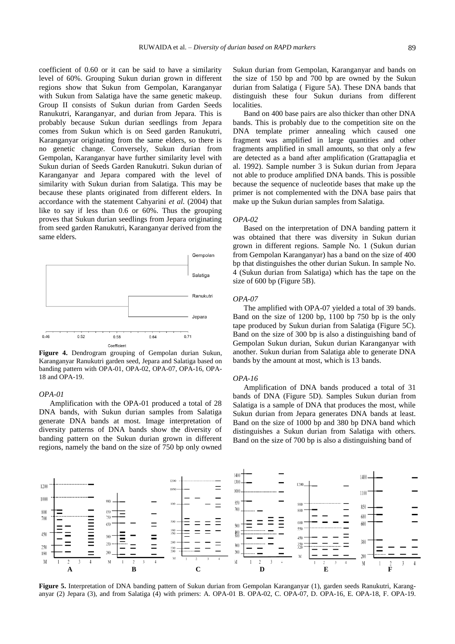coefficient of 0.60 or it can be said to have a similarity level of 60%. Grouping Sukun durian grown in different regions show that Sukun from Gempolan, Karanganyar with Sukun from Salatiga have the same genetic makeup. Group II consists of Sukun durian from Garden Seeds Ranukutri, Karanganyar, and durian from Jepara. This is probably because Sukun durian seedlings from Jepara comes from Sukun which is on Seed garden Ranukutri, Karanganyar originating from the same elders, so there is no genetic change. Conversely, Sukun durian from Gempolan, Karanganyar have further similarity level with Sukun durian of Seeds Garden Ranukutri. Sukun durian of Karanganyar and Jepara compared with the level of similarity with Sukun durian from Salatiga. This may be because these plants originated from different elders. In accordance with the statement Cahyarini *et al.* (2004) that like to say if less than 0.6 or 60%. Thus the grouping proves that Sukun durian seedlings from Jepara originating from seed garden Ranukutri, Karanganyar derived from the same elders.



**Figure 4.** Dendrogram grouping of Gempolan durian Sukun, Karanganyar Ranukutri garden seed, Jepara and Salatiga based on banding pattern with OPA-01, OPA-02, OPA-07, OPA-16, OPA-18 and OPA-19.

#### *OPA-01*

Amplification with the OPA-01 produced a total of 28 DNA bands, with Sukun durian samples from Salatiga generate DNA bands at most. Image interpretation of diversity patterns of DNA bands show the diversity of banding pattern on the Sukun durian grown in different regions, namely the band on the size of 750 bp only owned Sukun durian from Gempolan, Karanganyar and bands on the size of 150 bp and 700 bp are owned by the Sukun durian from Salatiga ( Figure 5A). These DNA bands that distinguish these four Sukun durians from different localities.

Band on 400 base pairs are also thicker than other DNA bands. This is probably due to the competition site on the DNA template primer annealing which caused one fragment was amplified in large quantities and other fragments amplified in small amounts, so that only a few are detected as a band after amplification (Grattapaglia et al. 1992). Sample number 3 is Sukun durian from Jepara not able to produce amplified DNA bands. This is possible because the sequence of nucleotide bases that make up the primer is not complemented with the DNA base pairs that make up the Sukun durian samples from Salatiga.

## *OPA-02*

Based on the interpretation of DNA banding pattern it was obtained that there was diversity in Sukun durian grown in different regions. Sample No. 1 (Sukun durian from Gempolan Karanganyar) has a band on the size of 400 bp that distinguishes the other durian Sukun. In sample No. 4 (Sukun durian from Salatiga) which has the tape on the size of 600 bp (Figure 5B).

## *OPA-07*

The amplified with OPA-07 yielded a total of 39 bands. Band on the size of 1200 bp, 1100 bp 750 bp is the only tape produced by Sukun durian from Salatiga (Figure 5C). Band on the size of 300 bp is also a distinguishing band of Gempolan Sukun durian, Sukun durian Karanganyar with another. Sukun durian from Salatiga able to generate DNA bands by the amount at most, which is 13 bands.

#### *OPA-16*

Amplification of DNA bands produced a total of 31 bands of DNA (Figure 5D). Samples Sukun durian from Salatiga is a sample of DNA that produces the most, while Sukun durian from Jepara generates DNA bands at least. Band on the size of 1000 bp and 380 bp DNA band which distinguishes a Sukun durian from Salatiga with others. Band on the size of 700 bp is also a distinguishing band of



**Figure 5.** Interpretation of DNA banding pattern of Sukun durian from Gempolan Karanganyar (1), garden seeds Ranukutri, Karanganyar (2) Jepara (3), and from Salatiga (4) with primers: A. OPA-01 B. OPA-02, C. OPA-07, D. OPA-16, E. OPA-18, F. OPA-19.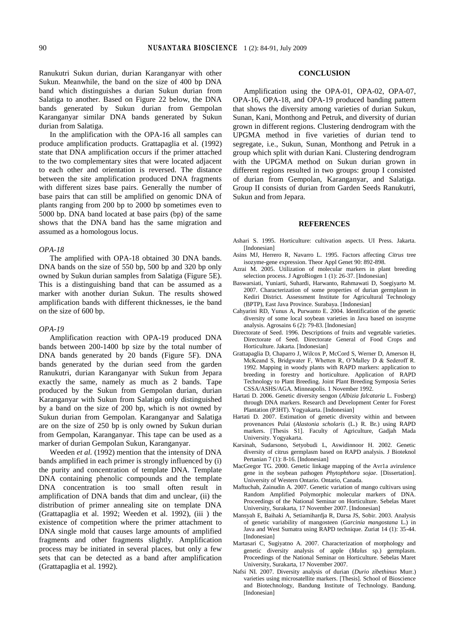Ranukutri Sukun durian, durian Karanganyar with other Sukun. Meanwhile, the band on the size of 400 bp DNA band which distinguishes a durian Sukun durian from Salatiga to another. Based on Figure 22 below, the DNA bands generated by Sukun durian from Gempolan Karanganyar similar DNA bands generated by Sukun durian from Salatiga.

In the amplification with the OPA-16 all samples can produce amplification products. Grattapaglia et al. (1992) state that DNA amplification occurs if the primer attached to the two complementary sites that were located adjacent to each other and orientation is reversed. The distance between the site amplification produced DNA fragments with different sizes base pairs. Generally the number of base pairs that can still be amplified on genomic DNA of plants ranging from 200 bp to 2000 bp sometimes even to 5000 bp. DNA band located at base pairs (bp) of the same shows that the DNA band has the same migration and assumed as a homologous locus.

# *OPA-18*

The amplified with OPA-18 obtained 30 DNA bands. DNA bands on the size of 550 bp, 500 bp and 320 bp only owned by Sukun durian samples from Salatiga (Figure 5E). This is a distinguishing band that can be assumed as a marker with another durian Sukun. The results showed amplification bands with different thicknesses, ie the band on the size of 600 bp.

#### *OPA-19*

Amplification reaction with OPA-19 produced DNA bands between 200-1400 bp size by the total number of DNA bands generated by 20 bands (Figure 5F). DNA bands generated by the durian seed from the garden Ranukutri, durian Karanganyar with Sukun from Jepara exactly the same, namely as much as 2 bands. Tape produced by the Sukun from Gempolan durian, durian Karanganyar with Sukun from Salatiga only distinguished by a band on the size of 200 bp, which is not owned by Sukun durian from Gempolan. Karanganyar and Salatiga are on the size of 250 bp is only owned by Sukun durian from Gempolan, Karanganyar. This tape can be used as a marker of durian Gempolan Sukun, Karanganyar.

Weeden *et al.* (1992) mention that the intensity of DNA bands amplified in each primer is strongly influenced by (i) the purity and concentration of template DNA. Template DNA containing phenolic compounds and the template DNA concentration is too small often result in amplification of DNA bands that dim and unclear, (ii) the distribution of primer annealing site on template DNA (Grattapaglia et al. 1992; Weeden et al. 1992), (iii ) the existence of competition where the primer attachment to DNA single mold that causes large amounts of amplified fragments and other fragments slightly. Amplification process may be initiated in several places, but only a few sets that can be detected as a band after amplification (Grattapaglia et al. 1992).

# **CONCLUSION**

Amplification using the OPA-01, OPA-02, OPA-07, OPA-16, OPA-18, and OPA-19 produced banding pattern that shows the diversity among varieties of durian Sukun, Sunan, Kani, Monthong and Petruk, and diversity of durian grown in different regions. Clustering dendrogram with the UPGMA method in five varieties of durian tend to segregate, i.e., Sukun, Sunan, Monthong and Petruk in a group which split with durian Kani. Clustering dendrogram with the UPGMA method on Sukun durian grown in different regions resulted in two groups: group I consisted of durian from Gempolan, Karanganyar, and Salatiga. Group II consists of durian from Garden Seeds Ranukutri, Sukun and from Jepara.

## **REFERENCES**

- Ashari S. 1995. Horticulture: cultivation aspects. UI Press. Jakarta. [Indonesian]
- Asins MJ, Herrero R, Navarro L. 1995. Factors affecting *Citrus* tree isozyme-gene expression. Theor Appl Genet 90: 892-898.
- Azrai M. 2005. Utilization of molecular markers in plant breeding selection process. J AgroBiogen 1 (1): 26-37. [Indonesian]
- Baswarsiati, Yuniarti, Suhardi, Harwanto, Rahmawati D, Soegiyarto M. 2007. Characterization of some properties of durian germplasm in Kediri District. Assessment Institute for Agricultural Technology (BPTP), East Java Province. Surabaya. [Indonesian]
- Cahyarini RD, Yunus A, Purwanto E. 2004. Identification of the genetic diversity of some local soybean varieties in Java based on isozyme analysis. Agrosains 6 (2): 79-83. [Indonesian]
- Directorate of Seed. 1996. Descriptions of fruits and vegetable varieties. Directorate of Seed. Directorate General of Food Crops and Horticulture. Jakarta. [Indonesian]
- Grattapaglia D, Chaparro J, Wilcox P, McCord S, Werner D, Amerson H, McKeand S, Bridgwater F, Whetten R, O'Malley D & Sederoff R. 1992. Mapping in woody plants with RAPD markers: application to breeding in forestry and horticulture. Application of RAPD Technology to Plant Breeding. Joint Plant Breeding Symposia Series CSSA/ASHS/AGA. Minneapolis. 1 November 1992.
- Hartati D. 2006. Genetic diversity sengon (*Albizia falcataria* L. Fosberg) through DNA markers. Research and Development Center for Forest Plantation (P3HT). Yogyakarta. [Indonesian]
- Hartati D. 2007. Estimation of genetic diversity within and between provenances Pulai (*Alastonia scholaris* (L.) R. Br.) using RAPD markers. [Thesis S1]. Faculty of Agriculture, Gadjah Mada University. Yogyakarta.
- Karsinah, Sudarsono, Setyobudi L, Aswidinnoor H. 2002. Genetic diversity of citrus germplasm based on RAPD analysis. J Bioteknol Pertanian 7 (1): 8-16. [Indonesian]
- MacGregor TG. 2000. Genetic linkage mapping of the Avr1a avirulence gene in the soybean pathogen *Phytophthora sojae*. [Dissertation]. University of Western Ontario. Ontario, Canada.
- Maftuchah, Zainudin A. 2007. Genetic variation of mango cultivars using Random Amplified Polymorphic molecular markers of DNA. Proceedings of the National Seminar on Horticulture. Sebelas Maret University, Surakarta, 17 November 2007. [Indonesian]
- Mansyah E, Baihaki A, Setiamihardja R, Darsa JS, Sobir. 2003. Analysis of genetic variability of mangosteen (*Garcinia mangostana* L.) in Java and West Sumatra using RAPD technique. Zuriat 14 (1): 35-44. [Indonesian]
- Martasari C, Sugiyatno A. 2007. Characterization of morphology and genetic diversity analysis of apple (*Malus* sp.) germplasm. Proceedings of the National Seminar on Horticulture. Sebelas Maret University, Surakarta, 17 November 2007.
- Nafsi NI. 2007. Diversity analysis of durian (*Durio zibethinus* Murr.) varieties using microsatellite markers. [Thesis]. School of Bioscience and Biotechnology, Bandung Institute of Technology. Bandung. [Indonesian]